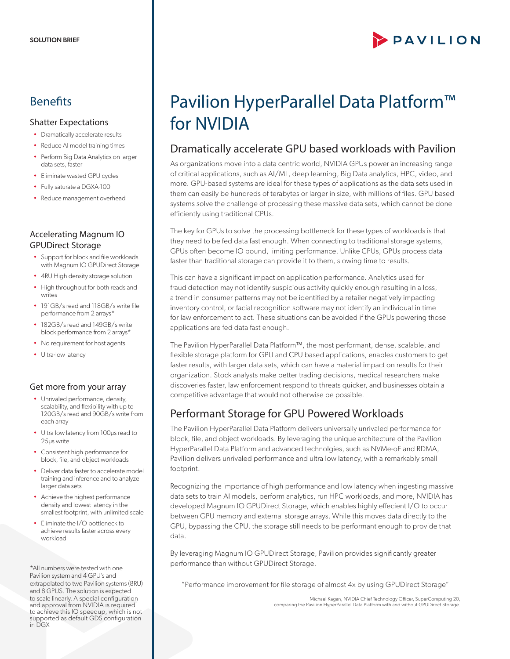# PAVILION

## **Benefits**

#### Shatter Expectations

- Dramatically accelerate results
- Reduce AI model training times
- Perform Big Data Analytics on larger data sets, faster
- Eliminate wasted GPU cycles
- Fully saturate a DGXA-100
- Reduce management overhead

#### Accelerating Magnum IO GPUDirect Storage

- Support for block and file workloads with Magnum IO GPUDirect Storage
- 4RU High density storage solution
- High throughput for both reads and writes
- 191GB/s read and 118GB/s write file performance from 2 arrays\*
- 182GB/s read and 149GB/s write block performance from 2 arrays\*
- No requirement for host agents
- Ultra-low latency

#### Get more from your array

- Unrivaled performance, density, scalability, and flexibility with up to 120GB/s read and 90GB/s write from each array
- Ultra low latency from 100µs read to 25µs write
- Consistent high performance for block, file, and object workloads
- Deliver data faster to accelerate model training and inference and to analyze larger data sets
- Achieve the highest performance density and lowest latency in the smallest footprint, with unlimited scale
- Eliminate the I/O bottleneck to achieve results faster across every workload

\*All numbers were tested with one Pavilion system and 4 GPU's and extrapolated to two Pavilion systems (8RU) and 8 GPUS. The solution is expected to scale linearly. A special configuration and approval from NVIDIA is required to achieve this IO speedup, which is not supported as default GDS configuration in DGX

# Pavilion HyperParallel Data Platform™ for NVIDIA

### Dramatically accelerate GPU based workloads with Pavilion

As organizations move into a data centric world, NVIDIA GPUs power an increasing range of critical applications, such as AI/ML, deep learning, Big Data analytics, HPC, video, and more. GPU-based systems are ideal for these types of applications as the data sets used in them can easily be hundreds of terabytes or larger in size, with millions of files. GPU based systems solve the challenge of processing these massive data sets, which cannot be done efficiently using traditional CPUs.

The key for GPUs to solve the processing bottleneck for these types of workloads is that they need to be fed data fast enough. When connecting to traditional storage systems, GPUs often become IO bound, limiting performance. Unlike CPUs, GPUs process data faster than traditional storage can provide it to them, slowing time to results.

This can have a significant impact on application performance. Analytics used for fraud detection may not identify suspicious activity quickly enough resulting in a loss, a trend in consumer patterns may not be identified by a retailer negatively impacting inventory control, or facial recognition software may not identify an individual in time for law enforcement to act. These situations can be avoided if the GPUs powering those applications are fed data fast enough.

The Pavilion HyperParallel Data Platform™, the most performant, dense, scalable, and flexible storage platform for GPU and CPU based applications, enables customers to get faster results, with larger data sets, which can have a material impact on results for their organization. Stock analysts make better trading decisions, medical researchers make discoveries faster, law enforcement respond to threats quicker, and businesses obtain a competitive advantage that would not otherwise be possible.

# Performant Storage for GPU Powered Workloads

The Pavilion HyperParallel Data Platform delivers universally unrivaled performance for block, file, and object workloads. By leveraging the unique architecture of the Pavilion HyperParallel Data Platform and advanced technolgies, such as NVMe-oF and RDMA, Pavilion delivers unrivaled performance and ultra low latency, with a remarkably small footprint.

Recognizing the importance of high performance and low latency when ingesting massive data sets to train AI models, perform analytics, run HPC workloads, and more, NVIDIA has developed Magnum IO GPUDirect Storage, which enables highly effecient I/O to occur between GPU memory and external storage arrays. While this moves data directly to the GPU, bypassing the CPU, the storage still needs to be performant enough to provide that data.

By leveraging Magnum IO GPUDirect Storage, Pavilion provides significantly greater performance than without GPUDirect Storage.

"Performance improvement for file storage of almost 4x by using GPUDirect Storage"

Michael Kagan, NVIDIA Chief Technology Officer, SuperComputing 20, comparing the Pavilion HyperParallel Data Platform with and without GPUDirect Storage.